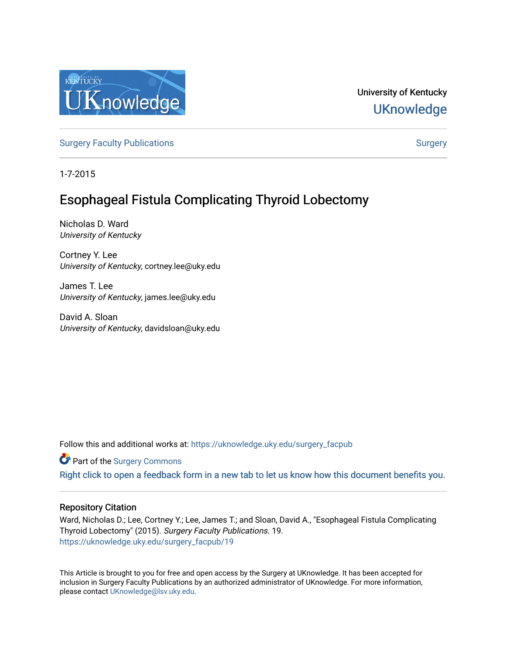

University of Kentucky **UKnowledge** 

[Surgery Faculty Publications](https://uknowledge.uky.edu/surgery_facpub) and the state of the [Surgery](https://uknowledge.uky.edu/surgery) Surgery

1-7-2015

# Esophageal Fistula Complicating Thyroid Lobectomy

Nicholas D. Ward University of Kentucky

Cortney Y. Lee University of Kentucky, cortney.lee@uky.edu

James T. Lee University of Kentucky, james.lee@uky.edu

David A. Sloan University of Kentucky, davidsloan@uky.edu

Follow this and additional works at: [https://uknowledge.uky.edu/surgery\\_facpub](https://uknowledge.uky.edu/surgery_facpub?utm_source=uknowledge.uky.edu%2Fsurgery_facpub%2F19&utm_medium=PDF&utm_campaign=PDFCoverPages) 

Part of the [Surgery Commons](http://network.bepress.com/hgg/discipline/706?utm_source=uknowledge.uky.edu%2Fsurgery_facpub%2F19&utm_medium=PDF&utm_campaign=PDFCoverPages) 

[Right click to open a feedback form in a new tab to let us know how this document benefits you.](https://uky.az1.qualtrics.com/jfe/form/SV_9mq8fx2GnONRfz7)

### Repository Citation

Ward, Nicholas D.; Lee, Cortney Y.; Lee, James T.; and Sloan, David A., "Esophageal Fistula Complicating Thyroid Lobectomy" (2015). Surgery Faculty Publications. 19. [https://uknowledge.uky.edu/surgery\\_facpub/19](https://uknowledge.uky.edu/surgery_facpub/19?utm_source=uknowledge.uky.edu%2Fsurgery_facpub%2F19&utm_medium=PDF&utm_campaign=PDFCoverPages)

This Article is brought to you for free and open access by the Surgery at UKnowledge. It has been accepted for inclusion in Surgery Faculty Publications by an authorized administrator of UKnowledge. For more information, please contact [UKnowledge@lsv.uky.edu.](mailto:UKnowledge@lsv.uky.edu)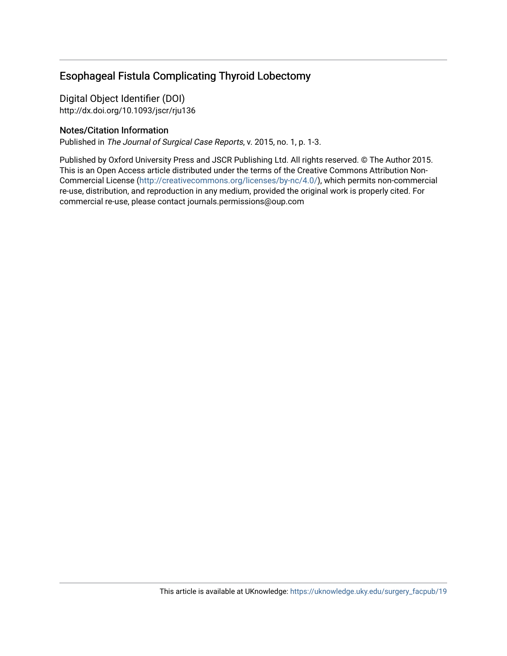# Esophageal Fistula Complicating Thyroid Lobectomy

Digital Object Identifier (DOI) http://dx.doi.org/10.1093/jscr/rju136

## Notes/Citation Information

Published in The Journal of Surgical Case Reports, v. 2015, no. 1, p. 1-3.

Published by Oxford University Press and JSCR Publishing Ltd. All rights reserved. © The Author 2015. This is an Open Access article distributed under the terms of the Creative Commons Attribution Non-Commercial License ([http://creativecommons.org/licenses/by-nc/4.0/\)](http://creativecommons.org/licenses/by-nc/4.0/), which permits non-commercial re-use, distribution, and reproduction in any medium, provided the original work is properly cited. For commercial re-use, please contact journals.permissions@oup.com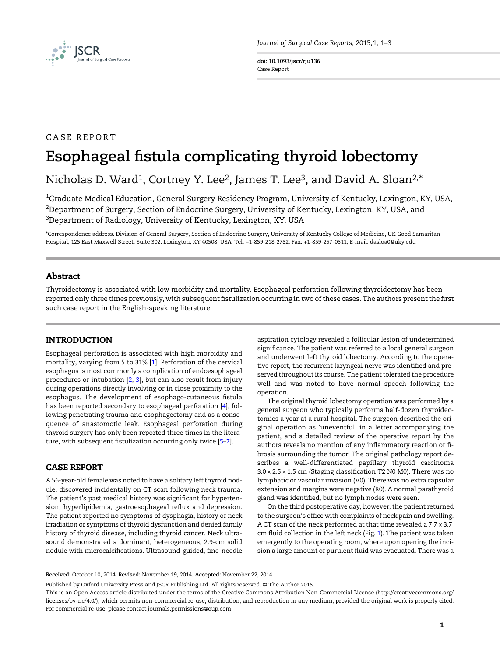

doi: 10.1093/jscr/rju136 Case Report

### CASE REPORT

# Esophageal fistula complicating thyroid lobectomy

Nicholas D. Ward<sup>1</sup>, Cortney Y. Lee<sup>2</sup>, James T. Lee<sup>3</sup>, and David A. Sloan<sup>2,\*</sup>

 $^{\rm 1}$ Graduate Medical Education, General Surgery Residency Program, University of Kentucky, Lexington, KY, USA,  $^2$ Department of Surgery, Section of Endocrine Surgery, University of Kentucky, Lexington, KY, USA, and  $^3$ Department of Radiology, University of Kentucky, Lexington, KY, USA

\*Correspondence address. Division of General Surgery, Section of Endocrine Surgery, University of Kentucky College of Medicine, UK Good Samaritan Hospital, 125 East Maxwell Street, Suite 302, Lexington, KY 40508, USA. Tel: +1-859-218-2782; Fax: +1-859-257-0511; E-mail: dasloa0@uky.edu

#### Abstract

Thyroidectomy is associated with low morbidity and mortality. Esophageal perforation following thyroidectomy has been reported only three times previously, with subsequent fistulization occurring in two of these cases. The authors present the first such case report in the English-speaking literature.

#### INTRODUCTION

Esophageal perforation is associated with high morbidity and mortality, varying from 5 to 31% [[1\]](#page-4-0). Perforation of the cervical esophagus is most commonly a complication of endoesophageal procedures or intubation [\[2](#page-4-0), [3](#page-4-0)], but can also result from injury during operations directly involving or in close proximity to the esophagus. The development of esophago-cutaneous fistula has been reported secondary to esophageal perforation [[4](#page-4-0)], following penetrating trauma and esophagectomy and as a consequence of anastomotic leak. Esophageal perforation during thyroid surgery has only been reported three times in the literature, with subsequent fistulization occurring only twice [[5](#page-4-0)–[7\]](#page-4-0).

#### CASE REPORT

A 56-year-old female was noted to have a solitary left thyroid nodule, discovered incidentally on CT scan following neck trauma. The patient's past medical history was significant for hypertension, hyperlipidemia, gastroesophageal reflux and depression. The patient reported no symptoms of dysphagia, history of neck irradiation or symptoms of thyroid dysfunction and denied family history of thyroid disease, including thyroid cancer. Neck ultrasound demonstrated a dominant, heterogeneous, 2.9-cm solid nodule with microcalcifications. Ultrasound-guided, fine-needle

aspiration cytology revealed a follicular lesion of undetermined significance. The patient was referred to a local general surgeon and underwent left thyroid lobectomy. According to the operative report, the recurrent laryngeal nerve was identified and preserved throughout its course. The patient tolerated the procedure well and was noted to have normal speech following the operation.

The original thyroid lobectomy operation was performed by a general surgeon who typically performs half-dozen thyroidectomies a year at a rural hospital. The surgeon described the original operation as 'uneventful' in a letter accompanying the patient, and a detailed review of the operative report by the authors reveals no mention of any inflammatory reaction or fibrosis surrounding the tumor. The original pathology report describes a well-differentiated papillary thyroid carcinoma 3.0 × 2.5 × 1.5 cm (Staging classification T2 N0 M0). There was no lymphatic or vascular invasion (V0). There was no extra capsular extension and margins were negative (R0). A normal parathyroid gland was identified, but no lymph nodes were seen.

On the third postoperative day, however, the patient returned to the surgeon's office with complaints of neck pain and swelling. A CT scan of the neck performed at that time revealed a 7.7 × 3.7 cm fluid collection in the left neck (Fig. [1\)](#page-3-0). The patient was taken emergently to the operating room, where upon opening the incision a large amount of purulent fluid was evacuated. There was a

Received: October 10, 2014. Revised: November 19, 2014. Accepted: November 22, 2014

Published by Oxford University Press and JSCR Publishing Ltd. All rights reserved. © The Author 2015.

This is an Open Access article distributed under the terms of the Creative Commons Attribution Non-Commercial License ([http://creativecommons.org/](http://creativecommons.org/licenses/by-nc/4.0/) [licenses/by-nc/4.0/\)](http://creativecommons.org/licenses/by-nc/4.0/), which permits non-commercial re-use, distribution, and reproduction in any medium, provided the original work is properly cited. For commercial re-use, please contact journals.permissions@oup.com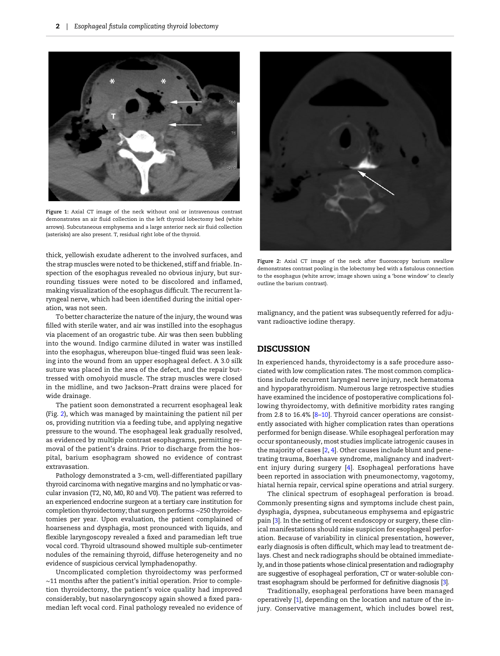<span id="page-3-0"></span>

Figure 1: Axial CT image of the neck without oral or intravenous contrast demonstrates an air fluid collection in the left thyroid lobectomy bed (white arrows). Subcutaneous emphysema and a large anterior neck air fluid collection (asterisks) are also present. T, residual right lobe of the thyroid.

thick, yellowish exudate adherent to the involved surfaces, and the strap muscles were noted to be thickened, stiff and friable. Inspection of the esophagus revealed no obvious injury, but surrounding tissues were noted to be discolored and inflamed, making visualization of the esophagus difficult. The recurrent laryngeal nerve, which had been identified during the initial operation, was not seen.

To better characterize the nature of the injury, the wound was filled with sterile water, and air was instilled into the esophagus via placement of an orogastric tube. Air was then seen bubbling into the wound. Indigo carmine diluted in water was instilled into the esophagus, whereupon blue-tinged fluid was seen leaking into the wound from an upper esophageal defect. A 3.0 silk suture was placed in the area of the defect, and the repair buttressed with omohyoid muscle. The strap muscles were closed in the midline, and two Jackson–Pratt drains were placed for wide drainage.

The patient soon demonstrated a recurrent esophageal leak (Fig. 2), which was managed by maintaining the patient nil per os, providing nutrition via a feeding tube, and applying negative pressure to the wound. The esophageal leak gradually resolved, as evidenced by multiple contrast esophagrams, permitting removal of the patient's drains. Prior to discharge from the hospital, barium esophagram showed no evidence of contrast extravasation.

Pathology demonstrated a 3-cm, well-differentiated papillary thyroid carcinoma with negative margins and no lymphatic or vascular invasion (T2, N0, M0, R0 and V0). The patient was referred to an experienced endocrine surgeon at a tertiary care institution for completion thyroidectomy; that surgeon performs ∼250 thyroidectomies per year. Upon evaluation, the patient complained of hoarseness and dysphagia, most pronounced with liquids, and flexible laryngoscopy revealed a fixed and paramedian left true vocal cord. Thyroid ultrasound showed multiple sub-centimeter nodules of the remaining thyroid, diffuse heterogeneity and no evidence of suspicious cervical lymphadenopathy.

Uncomplicated completion thyroidectomy was performed ∼11 months after the patient's initial operation. Prior to completion thyroidectomy, the patient's voice quality had improved considerably, but nasolaryngoscopy again showed a fixed paramedian left vocal cord. Final pathology revealed no evidence of



Figure 2: Axial CT image of the neck after fluoroscopy barium swallow demonstrates contrast pooling in the lobectomy bed with a fistulous connection to the esophagus (white arrow; image shown using a 'bone window' to clearly outline the barium contrast).

malignancy, and the patient was subsequently referred for adjuvant radioactive iodine therapy.

#### DISCUSSION

In experienced hands, thyroidectomy is a safe procedure associated with low complication rates. The most common complications include recurrent laryngeal nerve injury, neck hematoma and hypoparathyroidism. Numerous large retrospective studies have examined the incidence of postoperative complications following thyroidectomy, with definitive morbidity rates ranging from 2.8 to 16.4% [[8](#page-4-0)–[10](#page-4-0)]. Thyroid cancer operations are consistently associated with higher complication rates than operations performed for benign disease. While esophageal perforation may occur spontaneously, most studies implicate iatrogenic causes in the majority of cases [\[2,](#page-4-0) [4](#page-4-0)]. Other causes include blunt and penetrating trauma, Boerhaave syndrome, malignancy and inadvertent injury during surgery [\[4\]](#page-4-0). Esophageal perforations have been reported in association with pneumonectomy, vagotomy, hiatal hernia repair, cervical spine operations and atrial surgery.

The clinical spectrum of esophageal perforation is broad. Commonly presenting signs and symptoms include chest pain, dysphagia, dyspnea, subcutaneous emphysema and epigastric pain [\[3](#page-4-0)]. In the setting of recent endoscopy or surgery, these clinical manifestations should raise suspicion for esophageal perforation. Because of variability in clinical presentation, however, early diagnosis is often difficult, which may lead to treatment delays. Chest and neck radiographs should be obtained immediately, and in those patients whose clinical presentation and radiography are suggestive of esophageal perforation, CT or water-soluble contrast esophagram should be performed for definitive diagnosis [\[3](#page-4-0)].

Traditionally, esophageal perforations have been managed operatively [\[1\]](#page-4-0), depending on the location and nature of the injury. Conservative management, which includes bowel rest,